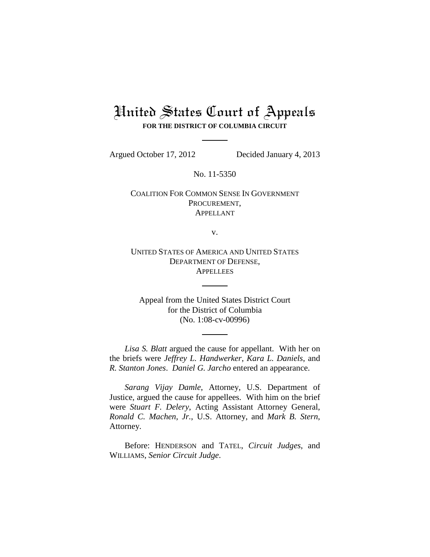## United States Court of Appeals **FOR THE DISTRICT OF COLUMBIA CIRCUIT**

Argued October 17, 2012 Decided January 4, 2013

No. 11-5350

COALITION FOR COMMON SENSE IN GOVERNMENT PROCUREMENT, APPELLANT

v.

UNITED STATES OF AMERICA AND UNITED STATES DEPARTMENT OF DEFENSE, **APPELLEES** 

Appeal from the United States District Court for the District of Columbia (No. 1:08-cv-00996)

*Lisa S. Blatt* argued the cause for appellant. With her on the briefs were *Jeffrey L. Handwerker*, *Kara L. Daniels*, and *R. Stanton Jones*. *Daniel G. Jarcho* entered an appearance.

*Sarang Vijay Damle*, Attorney, U.S. Department of Justice, argued the cause for appellees. With him on the brief were *Stuart F. Delery*, Acting Assistant Attorney General, *Ronald C. Machen*, *Jr.*, U.S. Attorney, and *Mark B. Stern*, Attorney.

Before: HENDERSON and TATEL, *Circuit Judges*, and WILLIAMS, *Senior Circuit Judge*.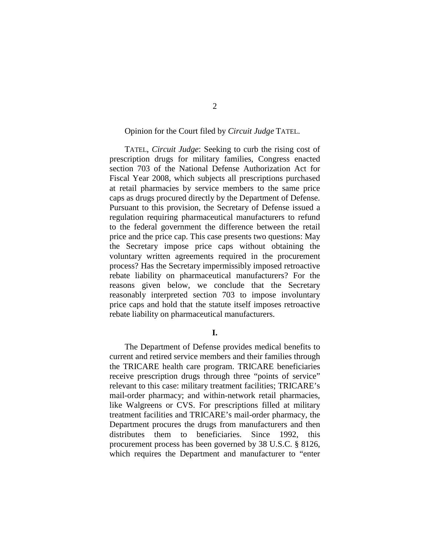#### Opinion for the Court filed by *Circuit Judge* TATEL.

TATEL, *Circuit Judge*: Seeking to curb the rising cost of prescription drugs for military families, Congress enacted section 703 of the National Defense Authorization Act for Fiscal Year 2008, which subjects all prescriptions purchased at retail pharmacies by service members to the same price caps as drugs procured directly by the Department of Defense. Pursuant to this provision, the Secretary of Defense issued a regulation requiring pharmaceutical manufacturers to refund to the federal government the difference between the retail price and the price cap. This case presents two questions: May the Secretary impose price caps without obtaining the voluntary written agreements required in the procurement process? Has the Secretary impermissibly imposed retroactive rebate liability on pharmaceutical manufacturers? For the reasons given below, we conclude that the Secretary reasonably interpreted section 703 to impose involuntary price caps and hold that the statute itself imposes retroactive rebate liability on pharmaceutical manufacturers.

**I.**

The Department of Defense provides medical benefits to current and retired service members and their families through the TRICARE health care program. TRICARE beneficiaries receive prescription drugs through three "points of service" relevant to this case: military treatment facilities; TRICARE's mail-order pharmacy; and within-network retail pharmacies, like Walgreens or CVS. For prescriptions filled at military treatment facilities and TRICARE's mail-order pharmacy, the Department procures the drugs from manufacturers and then distributes them to beneficiaries. Since 1992, this procurement process has been governed by 38 U.S.C. § 8126, which requires the Department and manufacturer to "enter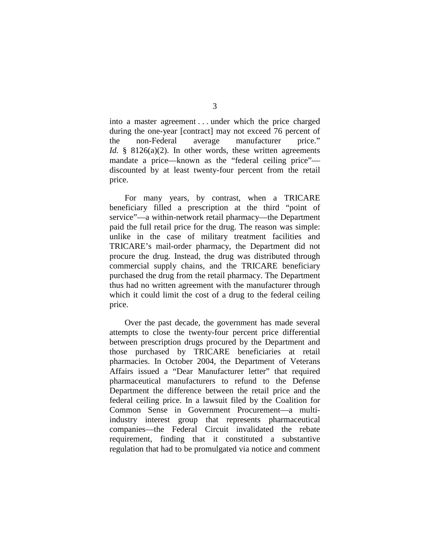into a master agreement . . . under which the price charged during the one-year [contract] may not exceed 76 percent of the non-Federal average manufacturer price." *Id.* § 8126(a)(2). In other words, these written agreements mandate a price—known as the "federal ceiling price" discounted by at least twenty-four percent from the retail price.

For many years, by contrast, when a TRICARE beneficiary filled a prescription at the third "point of service"—a within-network retail pharmacy—the Department paid the full retail price for the drug. The reason was simple: unlike in the case of military treatment facilities and TRICARE's mail-order pharmacy, the Department did not procure the drug. Instead, the drug was distributed through commercial supply chains, and the TRICARE beneficiary purchased the drug from the retail pharmacy. The Department thus had no written agreement with the manufacturer through which it could limit the cost of a drug to the federal ceiling price.

Over the past decade, the government has made several attempts to close the twenty-four percent price differential between prescription drugs procured by the Department and those purchased by TRICARE beneficiaries at retail pharmacies. In October 2004, the Department of Veterans Affairs issued a "Dear Manufacturer letter" that required pharmaceutical manufacturers to refund to the Defense Department the difference between the retail price and the federal ceiling price. In a lawsuit filed by the Coalition for Common Sense in Government Procurement—a multiindustry interest group that represents pharmaceutical companies—the Federal Circuit invalidated the rebate requirement, finding that it constituted a substantive regulation that had to be promulgated via notice and comment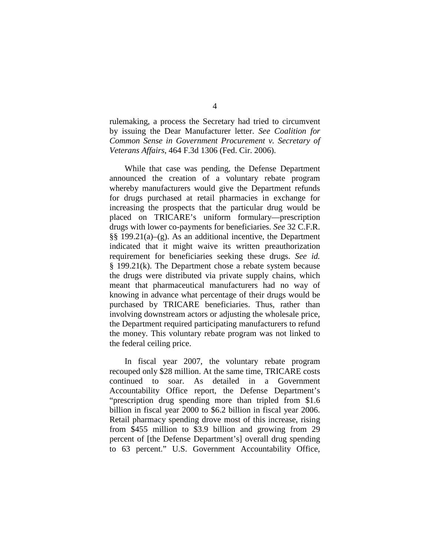rulemaking, a process the Secretary had tried to circumvent by issuing the Dear Manufacturer letter. *See Coalition for Common Sense in Government Procurement v. Secretary of Veterans Affairs*, 464 F.3d 1306 (Fed. Cir. 2006).

While that case was pending, the Defense Department announced the creation of a voluntary rebate program whereby manufacturers would give the Department refunds for drugs purchased at retail pharmacies in exchange for increasing the prospects that the particular drug would be placed on TRICARE's uniform formulary—prescription drugs with lower co-payments for beneficiaries. *See* 32 C.F.R. §§ 199.21(a)–(g). As an additional incentive, the Department indicated that it might waive its written preauthorization requirement for beneficiaries seeking these drugs. *See id.* § 199.21(k). The Department chose a rebate system because the drugs were distributed via private supply chains, which meant that pharmaceutical manufacturers had no way of knowing in advance what percentage of their drugs would be purchased by TRICARE beneficiaries. Thus, rather than involving downstream actors or adjusting the wholesale price, the Department required participating manufacturers to refund the money. This voluntary rebate program was not linked to the federal ceiling price.

In fiscal year 2007, the voluntary rebate program recouped only \$28 million. At the same time, TRICARE costs continued to soar. As detailed in a Government Accountability Office report, the Defense Department's "prescription drug spending more than tripled from \$1.6 billion in fiscal year 2000 to \$6.2 billion in fiscal year 2006. Retail pharmacy spending drove most of this increase, rising from \$455 million to \$3.9 billion and growing from 29 percent of [the Defense Department's] overall drug spending to 63 percent." U.S. Government Accountability Office,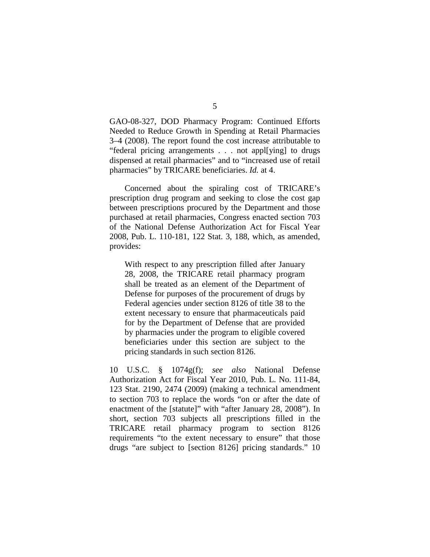GAO-08-327, DOD Pharmacy Program: Continued Efforts Needed to Reduce Growth in Spending at Retail Pharmacies 3–4 (2008). The report found the cost increase attributable to "federal pricing arrangements . . . not appl[ying] to drugs dispensed at retail pharmacies" and to "increased use of retail pharmacies" by TRICARE beneficiaries. *Id.* at 4.

Concerned about the spiraling cost of TRICARE's prescription drug program and seeking to close the cost gap between prescriptions procured by the Department and those purchased at retail pharmacies, Congress enacted section 703 of the National Defense Authorization Act for Fiscal Year 2008, Pub. L. 110-181, 122 Stat. 3, 188, which, as amended, provides:

With respect to any prescription filled after January 28, 2008, the TRICARE retail pharmacy program shall be treated as an element of the Department of Defense for purposes of the procurement of drugs by Federal agencies under section 8126 of title 38 to the extent necessary to ensure that pharmaceuticals paid for by the Department of Defense that are provided by pharmacies under the program to eligible covered beneficiaries under this section are subject to the pricing standards in such section 8126.

10 U.S.C. § 1074g(f); *see also* National Defense Authorization Act for Fiscal Year 2010, Pub. L. No. 111-84, 123 Stat. 2190, 2474 (2009) (making a technical amendment to section 703 to replace the words "on or after the date of enactment of the [statute]" with "after January 28, 2008"). In short, section 703 subjects all prescriptions filled in the TRICARE retail pharmacy program to section 8126 requirements "to the extent necessary to ensure" that those drugs "are subject to [section 8126] pricing standards." 10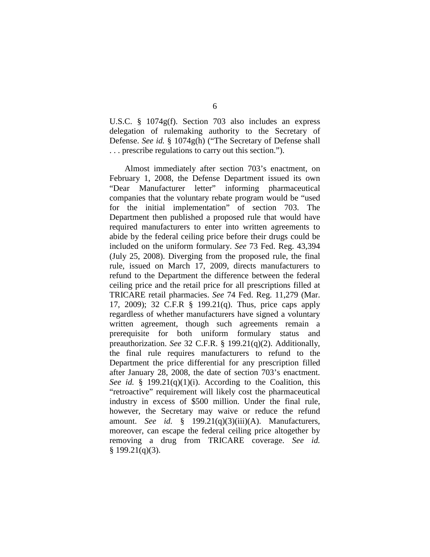U.S.C. § 1074g(f). Section 703 also includes an express delegation of rulemaking authority to the Secretary of Defense. *See id.* § 1074g(h) ("The Secretary of Defense shall . . . prescribe regulations to carry out this section.").

Almost immediately after section 703's enactment, on February 1, 2008, the Defense Department issued its own "Dear Manufacturer letter" informing pharmaceutical companies that the voluntary rebate program would be "used for the initial implementation" of section 703. The Department then published a proposed rule that would have required manufacturers to enter into written agreements to abide by the federal ceiling price before their drugs could be included on the uniform formulary. *See* 73 Fed. Reg. 43,394 (July 25, 2008). Diverging from the proposed rule, the final rule, issued on March 17, 2009, directs manufacturers to refund to the Department the difference between the federal ceiling price and the retail price for all prescriptions filled at TRICARE retail pharmacies. *See* 74 Fed. Reg. 11,279 (Mar. 17, 2009); 32 C.F.R § 199.21(q). Thus, price caps apply regardless of whether manufacturers have signed a voluntary written agreement, though such agreements remain a prerequisite for both uniform formulary status and preauthorization. *See* 32 C.F.R. § 199.21(q)(2). Additionally, the final rule requires manufacturers to refund to the Department the price differential for any prescription filled after January 28, 2008, the date of section 703's enactment. *See id.* § 199.21(q)(1)(i). According to the Coalition, this "retroactive" requirement will likely cost the pharmaceutical industry in excess of \$500 million. Under the final rule, however, the Secretary may waive or reduce the refund amount. *See id.* § 199.21(q)(3)(iii)(A). Manufacturers, moreover, can escape the federal ceiling price altogether by removing a drug from TRICARE coverage. *See id.*  $§$  199.21(q)(3).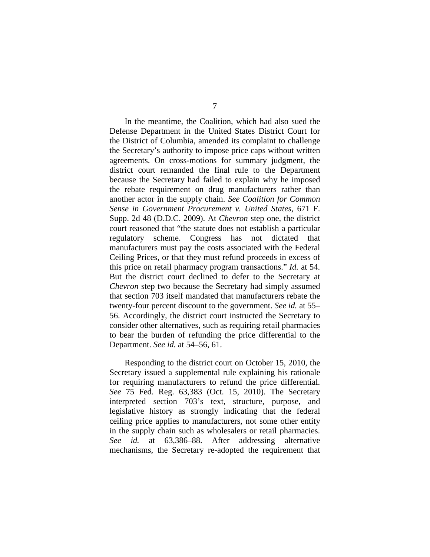In the meantime, the Coalition, which had also sued the Defense Department in the United States District Court for the District of Columbia, amended its complaint to challenge the Secretary's authority to impose price caps without written agreements. On cross-motions for summary judgment, the district court remanded the final rule to the Department because the Secretary had failed to explain why he imposed the rebate requirement on drug manufacturers rather than another actor in the supply chain. *See Coalition for Common Sense in Government Procurement v. United States*, 671 F. Supp. 2d 48 (D.D.C. 2009). At *Chevron* step one, the district court reasoned that "the statute does not establish a particular regulatory scheme. Congress has not dictated that manufacturers must pay the costs associated with the Federal Ceiling Prices, or that they must refund proceeds in excess of this price on retail pharmacy program transactions." *Id.* at 54. But the district court declined to defer to the Secretary at *Chevron* step two because the Secretary had simply assumed that section 703 itself mandated that manufacturers rebate the twenty-four percent discount to the government. *See id.* at 55– 56. Accordingly, the district court instructed the Secretary to consider other alternatives, such as requiring retail pharmacies to bear the burden of refunding the price differential to the Department. *See id.* at 54–56, 61.

Responding to the district court on October 15, 2010, the Secretary issued a supplemental rule explaining his rationale for requiring manufacturers to refund the price differential. *See* 75 Fed. Reg. 63,383 (Oct. 15, 2010). The Secretary interpreted section 703's text, structure, purpose, and legislative history as strongly indicating that the federal ceiling price applies to manufacturers, not some other entity in the supply chain such as wholesalers or retail pharmacies. *See id.* at 63,386–88. After addressing alternative mechanisms, the Secretary re-adopted the requirement that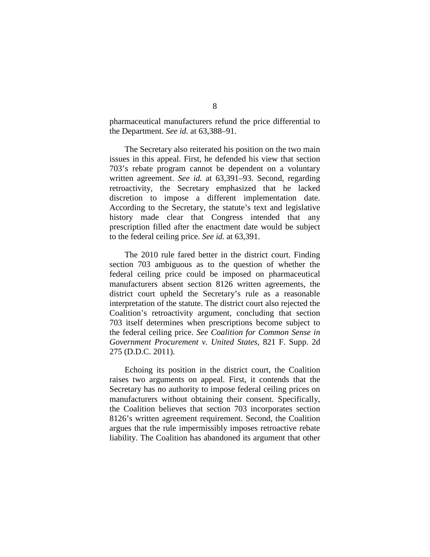pharmaceutical manufacturers refund the price differential to the Department. *See id.* at 63,388–91.

The Secretary also reiterated his position on the two main issues in this appeal. First, he defended his view that section 703's rebate program cannot be dependent on a voluntary written agreement. *See id.* at 63,391–93. Second, regarding retroactivity, the Secretary emphasized that he lacked discretion to impose a different implementation date. According to the Secretary, the statute's text and legislative history made clear that Congress intended that any prescription filled after the enactment date would be subject to the federal ceiling price. *See id.* at 63,391.

The 2010 rule fared better in the district court. Finding section 703 ambiguous as to the question of whether the federal ceiling price could be imposed on pharmaceutical manufacturers absent section 8126 written agreements, the district court upheld the Secretary's rule as a reasonable interpretation of the statute. The district court also rejected the Coalition's retroactivity argument, concluding that section 703 itself determines when prescriptions become subject to the federal ceiling price. *See Coalition for Common Sense in Government Procurement v. United States*, 821 F. Supp. 2d 275 (D.D.C. 2011).

Echoing its position in the district court, the Coalition raises two arguments on appeal. First, it contends that the Secretary has no authority to impose federal ceiling prices on manufacturers without obtaining their consent. Specifically, the Coalition believes that section 703 incorporates section 8126's written agreement requirement. Second, the Coalition argues that the rule impermissibly imposes retroactive rebate liability. The Coalition has abandoned its argument that other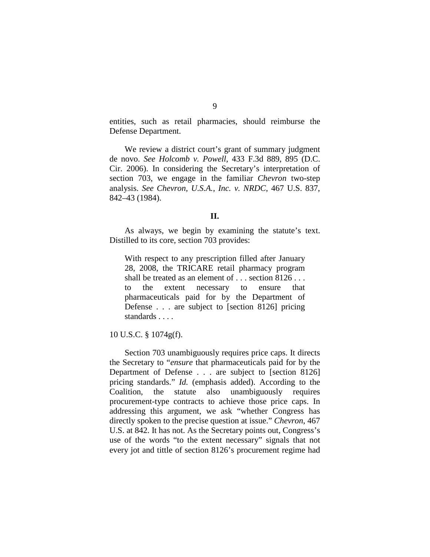entities, such as retail pharmacies, should reimburse the Defense Department.

We review a district court's grant of summary judgment de novo. *See Holcomb v. Powell*, 433 F.3d 889, 895 (D.C. Cir. 2006). In considering the Secretary's interpretation of section 703, we engage in the familiar *Chevron* two-step analysis. *See Chevron, U.S.A., Inc. v. NRDC*, 467 U.S. 837, 842–43 (1984).

#### **II.**

As always, we begin by examining the statute's text. Distilled to its core, section 703 provides:

With respect to any prescription filled after January 28, 2008, the TRICARE retail pharmacy program shall be treated as an element of . . . section 8126 . . . to the extent necessary to ensure that pharmaceuticals paid for by the Department of Defense . . . are subject to [section 8126] pricing standards . . . .

#### 10 U.S.C. § 1074g(f).

Section 703 unambiguously requires price caps. It directs the Secretary to "*ensure* that pharmaceuticals paid for by the Department of Defense . . . are subject to [section 8126] pricing standards." *Id.* (emphasis added). According to the Coalition, the statute also unambiguously requires procurement-type contracts to achieve those price caps. In addressing this argument, we ask "whether Congress has directly spoken to the precise question at issue." *Chevron*, 467 U.S. at 842. It has not. As the Secretary points out, Congress's use of the words "to the extent necessary" signals that not every jot and tittle of section 8126's procurement regime had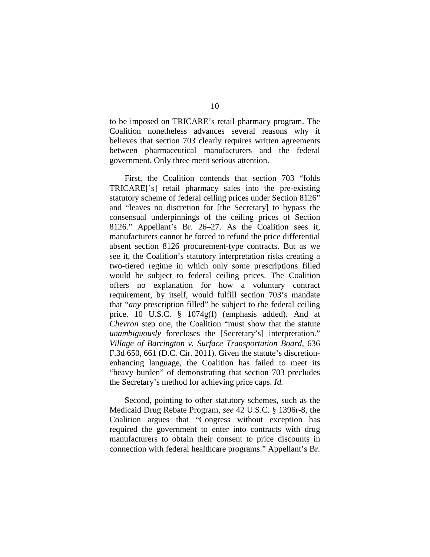to be imposed on TRICARE's retail pharmacy program. The Coalition nonetheless advances several reasons why it believes that section 703 clearly requires written agreements between pharmaceutical manufacturers and the federal government. Only three merit serious attention.

First, the Coalition contends that section 703 "folds TRICARE['s] retail pharmacy sales into the pre-existing statutory scheme of federal ceiling prices under Section 8126" and "leaves no discretion for [the Secretary] to bypass the consensual underpinnings of the ceiling prices of Section 8126." Appellant's Br. 26–27. As the Coalition sees it, manufacturers cannot be forced to refund the price differential absent section 8126 procurement-type contracts. But as we see it, the Coalition's statutory interpretation risks creating a two-tiered regime in which only some prescriptions filled would be subject to federal ceiling prices. The Coalition offers no explanation for how a voluntary contract requirement, by itself, would fulfill section 703's mandate that "*any* prescription filled" be subject to the federal ceiling price. 10 U.S.C. § 1074g(f) (emphasis added). And at *Chevron* step one, the Coalition "must show that the statute *unambiguously* forecloses the [Secretary's] interpretation." *Village of Barrington v. Surface Transportation Board*, 636 F.3d 650, 661 (D.C. Cir. 2011). Given the statute's discretionenhancing language, the Coalition has failed to meet its "heavy burden" of demonstrating that section 703 precludes the Secretary's method for achieving price caps. *Id.*

Second, pointing to other statutory schemes, such as the Medicaid Drug Rebate Program, *see* 42 U.S.C. § 1396r-8, the Coalition argues that "Congress without exception has required the government to enter into contracts with drug manufacturers to obtain their consent to price discounts in connection with federal healthcare programs." Appellant's Br.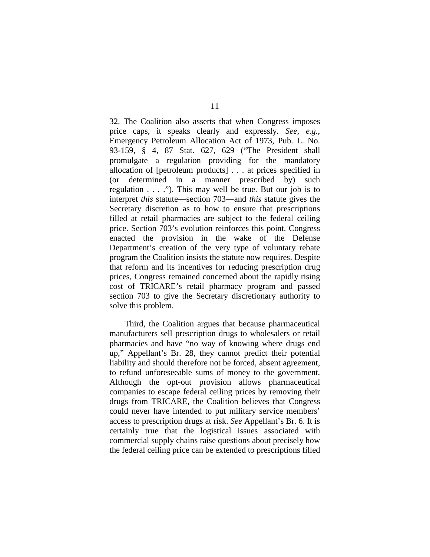32. The Coalition also asserts that when Congress imposes price caps, it speaks clearly and expressly. *See, e.g.*, Emergency Petroleum Allocation Act of 1973, Pub. L. No. 93-159, § 4, 87 Stat. 627, 629 ("The President shall promulgate a regulation providing for the mandatory allocation of [petroleum products] . . . at prices specified in (or determined in a manner prescribed by) such regulation . . . ."). This may well be true. But our job is to interpret *this* statute—section 703—and *this* statute gives the Secretary discretion as to how to ensure that prescriptions filled at retail pharmacies are subject to the federal ceiling price. Section 703's evolution reinforces this point. Congress enacted the provision in the wake of the Defense Department's creation of the very type of voluntary rebate program the Coalition insists the statute now requires. Despite that reform and its incentives for reducing prescription drug prices, Congress remained concerned about the rapidly rising cost of TRICARE's retail pharmacy program and passed section 703 to give the Secretary discretionary authority to solve this problem.

Third, the Coalition argues that because pharmaceutical manufacturers sell prescription drugs to wholesalers or retail pharmacies and have "no way of knowing where drugs end up," Appellant's Br. 28, they cannot predict their potential liability and should therefore not be forced, absent agreement, to refund unforeseeable sums of money to the government. Although the opt-out provision allows pharmaceutical companies to escape federal ceiling prices by removing their drugs from TRICARE, the Coalition believes that Congress could never have intended to put military service members' access to prescription drugs at risk. *See* Appellant's Br. 6. It is certainly true that the logistical issues associated with commercial supply chains raise questions about precisely how the federal ceiling price can be extended to prescriptions filled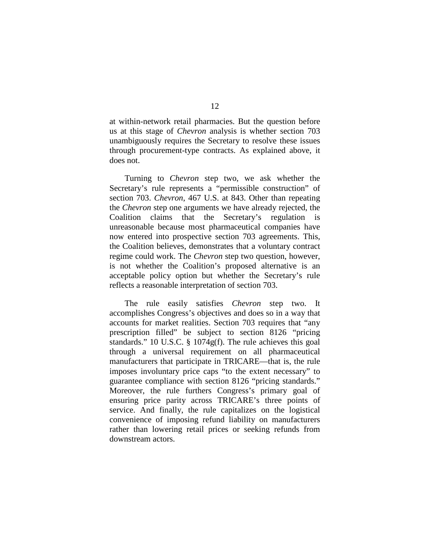at within-network retail pharmacies. But the question before us at this stage of *Chevron* analysis is whether section 703 unambiguously requires the Secretary to resolve these issues through procurement-type contracts. As explained above, it does not.

Turning to *Chevron* step two, we ask whether the Secretary's rule represents a "permissible construction" of section 703. *Chevron*, 467 U.S. at 843. Other than repeating the *Chevron* step one arguments we have already rejected, the Coalition claims that the Secretary's regulation is unreasonable because most pharmaceutical companies have now entered into prospective section 703 agreements. This, the Coalition believes, demonstrates that a voluntary contract regime could work. The *Chevron* step two question, however, is not whether the Coalition's proposed alternative is an acceptable policy option but whether the Secretary's rule reflects a reasonable interpretation of section 703.

The rule easily satisfies *Chevron* step two. It accomplishes Congress's objectives and does so in a way that accounts for market realities. Section 703 requires that "any prescription filled" be subject to section 8126 "pricing standards." 10 U.S.C. § 1074g(f). The rule achieves this goal through a universal requirement on all pharmaceutical manufacturers that participate in TRICARE—that is, the rule imposes involuntary price caps "to the extent necessary" to guarantee compliance with section 8126 "pricing standards." Moreover, the rule furthers Congress's primary goal of ensuring price parity across TRICARE's three points of service. And finally, the rule capitalizes on the logistical convenience of imposing refund liability on manufacturers rather than lowering retail prices or seeking refunds from downstream actors.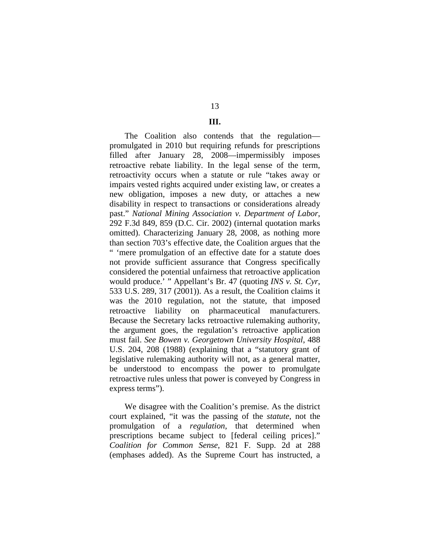# 13

### **III.**

The Coalition also contends that the regulation promulgated in 2010 but requiring refunds for prescriptions filled after January 28, 2008—impermissibly imposes retroactive rebate liability. In the legal sense of the term, retroactivity occurs when a statute or rule "takes away or impairs vested rights acquired under existing law, or creates a new obligation, imposes a new duty, or attaches a new disability in respect to transactions or considerations already past." *National Mining Association v. Department of Labor*, 292 F.3d 849, 859 (D.C. Cir. 2002) (internal quotation marks omitted). Characterizing January 28, 2008, as nothing more than section 703's effective date, the Coalition argues that the " 'mere promulgation of an effective date for a statute does not provide sufficient assurance that Congress specifically considered the potential unfairness that retroactive application would produce.' " Appellant's Br. 47 (quoting *INS v. St. Cyr*, 533 U.S. 289, 317 (2001)). As a result, the Coalition claims it was the 2010 regulation, not the statute, that imposed retroactive liability on pharmaceutical manufacturers. Because the Secretary lacks retroactive rulemaking authority, the argument goes, the regulation's retroactive application must fail. *See Bowen v. Georgetown University Hospital*, 488 U.S. 204, 208 (1988) (explaining that a "statutory grant of legislative rulemaking authority will not, as a general matter, be understood to encompass the power to promulgate retroactive rules unless that power is conveyed by Congress in express terms").

We disagree with the Coalition's premise. As the district court explained, "it was the passing of the *statute*, not the promulgation of a *regulation*, that determined when prescriptions became subject to [federal ceiling prices]." *Coalition for Common Sense*, 821 F. Supp. 2d at 288 (emphases added). As the Supreme Court has instructed, a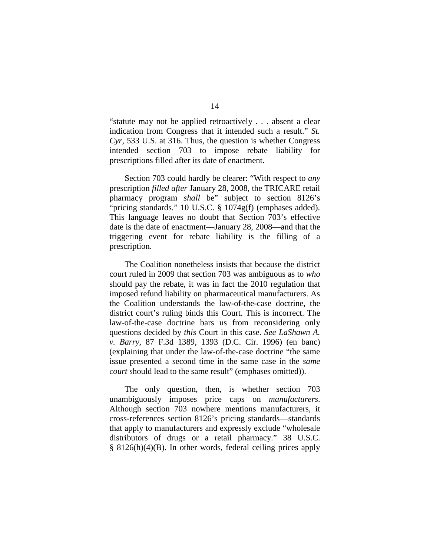"statute may not be applied retroactively . . . absent a clear indication from Congress that it intended such a result." *St. Cyr*, 533 U.S. at 316. Thus, the question is whether Congress intended section 703 to impose rebate liability for prescriptions filled after its date of enactment.

Section 703 could hardly be clearer: "With respect to *any*  prescription *filled after* January 28, 2008, the TRICARE retail pharmacy program *shall* be" subject to section 8126's "pricing standards." 10 U.S.C. § 1074g(f) (emphases added). This language leaves no doubt that Section 703's effective date is the date of enactment—January 28, 2008—and that the triggering event for rebate liability is the filling of a prescription.

The Coalition nonetheless insists that because the district court ruled in 2009 that section 703 was ambiguous as to *who* should pay the rebate, it was in fact the 2010 regulation that imposed refund liability on pharmaceutical manufacturers. As the Coalition understands the law-of-the-case doctrine, the district court's ruling binds this Court. This is incorrect. The law-of-the-case doctrine bars us from reconsidering only questions decided by *this* Court in this case. *See LaShawn A. v. Barry*, 87 F.3d 1389, 1393 (D.C. Cir. 1996) (en banc) (explaining that under the law-of-the-case doctrine "the same issue presented a second time in the same case in the *same court* should lead to the same result" (emphases omitted)).

The only question, then, is whether section 703 unambiguously imposes price caps on *manufacturers*. Although section 703 nowhere mentions manufacturers, it cross-references section 8126's pricing standards—standards that apply to manufacturers and expressly exclude "wholesale distributors of drugs or a retail pharmacy." 38 U.S.C. § 8126(h)(4)(B). In other words, federal ceiling prices apply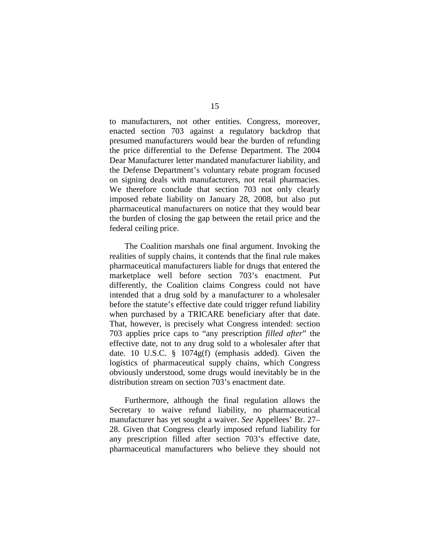to manufacturers, not other entities. Congress, moreover, enacted section 703 against a regulatory backdrop that presumed manufacturers would bear the burden of refunding the price differential to the Defense Department. The 2004 Dear Manufacturer letter mandated manufacturer liability, and the Defense Department's voluntary rebate program focused on signing deals with manufacturers, not retail pharmacies. We therefore conclude that section 703 not only clearly imposed rebate liability on January 28, 2008, but also put pharmaceutical manufacturers on notice that they would bear the burden of closing the gap between the retail price and the federal ceiling price.

The Coalition marshals one final argument. Invoking the realities of supply chains, it contends that the final rule makes pharmaceutical manufacturers liable for drugs that entered the marketplace well before section 703's enactment. Put differently, the Coalition claims Congress could not have intended that a drug sold by a manufacturer to a wholesaler before the statute's effective date could trigger refund liability when purchased by a TRICARE beneficiary after that date. That, however, is precisely what Congress intended: section 703 applies price caps to "any prescription *filled after*" the effective date, not to any drug sold to a wholesaler after that date. 10 U.S.C. § 1074g(f) (emphasis added). Given the logistics of pharmaceutical supply chains, which Congress obviously understood, some drugs would inevitably be in the distribution stream on section 703's enactment date.

Furthermore, although the final regulation allows the Secretary to waive refund liability, no pharmaceutical manufacturer has yet sought a waiver. *See* Appellees' Br. 27– 28. Given that Congress clearly imposed refund liability for any prescription filled after section 703's effective date, pharmaceutical manufacturers who believe they should not